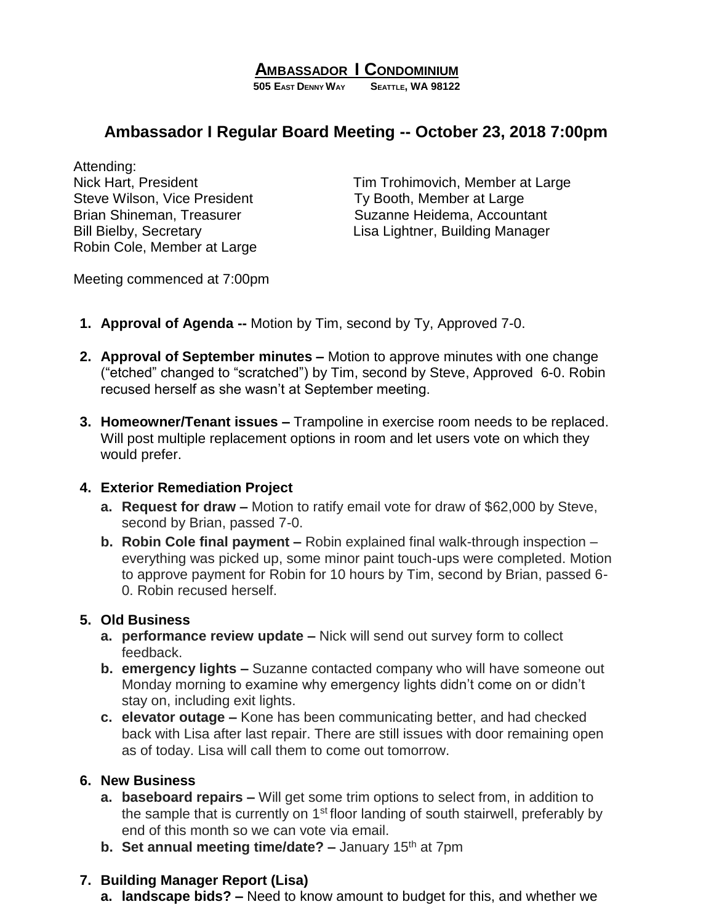## **AMBASSADOR I CONDOMINIUM**

**505 EAST DENNY WAY SEATTLE, WA 98122**

# **Ambassador I Regular Board Meeting -- October 23, 2018 7:00pm**

Attending: Steve Wilson, Vice President Ty Booth, Member at Large Robin Cole, Member at Large

Nick Hart, President Tim Trohimovich, Member at Large Brian Shineman, Treasurer Suzanne Heidema, Accountant Bill Bielby, Secretary **Exercise Secretary** Lisa Lightner, Building Manager

Meeting commenced at 7:00pm

- **1. Approval of Agenda --** Motion by Tim, second by Ty, Approved 7-0.
- **2. Approval of September minutes –** Motion to approve minutes with one change ("etched" changed to "scratched") by Tim, second by Steve, Approved 6-0. Robin recused herself as she wasn't at September meeting.
- **3. Homeowner/Tenant issues –** Trampoline in exercise room needs to be replaced. Will post multiple replacement options in room and let users vote on which they would prefer.

#### **4. Exterior Remediation Project**

- **a. Request for draw –** Motion to ratify email vote for draw of \$62,000 by Steve, second by Brian, passed 7-0.
- **b. Robin Cole final payment –** Robin explained final walk-through inspection everything was picked up, some minor paint touch-ups were completed. Motion to approve payment for Robin for 10 hours by Tim, second by Brian, passed 6- 0. Robin recused herself.

#### **5. Old Business**

- **a. performance review update –** Nick will send out survey form to collect feedback.
- **b. emergency lights –** Suzanne contacted company who will have someone out Monday morning to examine why emergency lights didn't come on or didn't stay on, including exit lights.
- **c. elevator outage –** Kone has been communicating better, and had checked back with Lisa after last repair. There are still issues with door remaining open as of today. Lisa will call them to come out tomorrow.

#### **6. New Business**

- **a. baseboard repairs –** Will get some trim options to select from, in addition to the sample that is currently on  $1<sup>st</sup>$  floor landing of south stairwell, preferably by end of this month so we can vote via email.
- **b.** Set annual meeting time/date? January 15<sup>th</sup> at 7pm

#### **7. Building Manager Report (Lisa)**

**a. landscape bids? –** Need to know amount to budget for this, and whether we